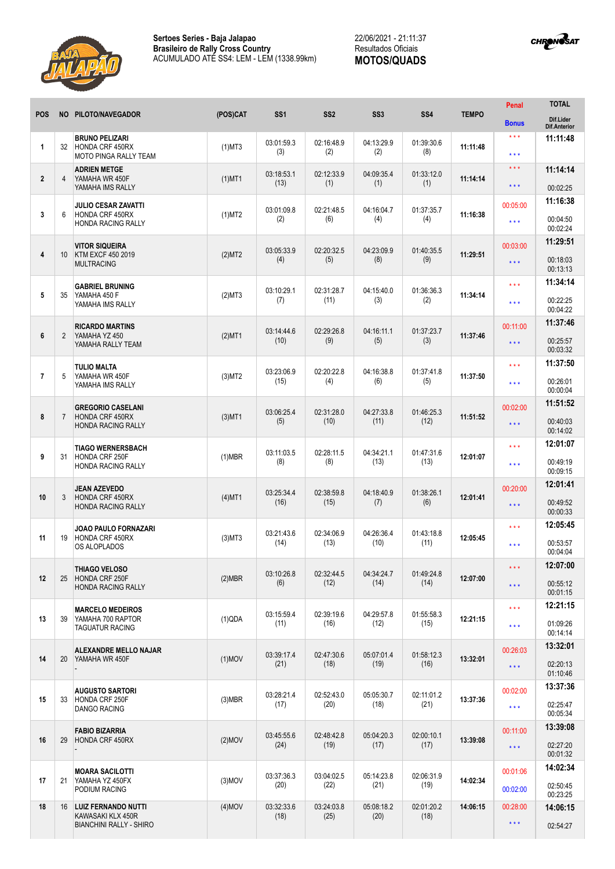



|                         |                |                                                                            |              |                    |                    |                    |                    |              | Penal                                    | <b>TOTAL</b>                                 |
|-------------------------|----------------|----------------------------------------------------------------------------|--------------|--------------------|--------------------|--------------------|--------------------|--------------|------------------------------------------|----------------------------------------------|
| <b>POS</b>              | <b>NO</b>      | PILOTO/NAVEGADOR                                                           | (POS)CAT     | SS <sub>1</sub>    | SS <sub>2</sub>    | SS <sub>3</sub>    | <b>SS4</b>         | <b>TEMPO</b> | <b>Bonus</b>                             | Dif.Lider<br><b>Dif.Anterior</b>             |
| $\mathbf{1}$            | 32             | <b>BRUNO PELIZARI</b><br>HONDA CRF 450RX<br>MOTO PINGA RALLY TEAM          | $(1)$ MT3    | 03:01:59.3<br>(3)  | 02:16:48.9<br>(2)  | 04:13:29.9<br>(2)  | 01:39:30.6<br>(8)  | 11:11:48     | ***<br>* * *                             | 11:11:48                                     |
| $\overline{2}$          | 4              | ADRIEN METGE<br>YAMAHA WR 450F<br>YAMAHA IMS RALLY                         | $(1)$ MT1    | 03:18:53.1<br>(13) | 02:12:33.9<br>(1)  | 04:09:35.4<br>(1)  | 01:33:12.0<br>(1)  | 11:14:14     | $\star\star\star$<br>* * *               | 11:14:14<br>00:02:25                         |
| 3                       | 6              | <b>JULIO CESAR ZAVATTI</b><br><b>HONDA CRF 450RX</b><br>HONDA RACING RALLY | $(1)$ MT2    | 03:01:09.8<br>(2)  | 02:21:48.5<br>(6)  | 04:16:04.7<br>(4)  | 01:37:35.7<br>(4)  | 11:16:38     | 00:05:00<br>$\star \star \star$          | 11:16:38<br>00:04:50<br>00:02:24             |
| $\overline{4}$          | 10             | <b>VITOR SIQUEIRA</b><br>KTM EXCF 450 2019<br>MULTRACING                   | (2)MT2       | 03:05:33.9<br>(4)  | 02:20:32.5<br>(5)  | 04:23:09.9<br>(8)  | 01:40:35.5<br>(9)  | 11:29:51     | 00:03:00<br>$\star \star \star$          | 11:29:51<br>00:18:03<br>00:13:13             |
| $\overline{\mathbf{5}}$ | 35             | <b>GABRIEL BRUNING</b><br>YAMAHA 450 F<br>YAMAHA IMS RALLY                 | (2)MT3       | 03:10:29.1<br>(7)  | 02:31:28.7<br>(11) | 04:15:40.0<br>(3)  | 01:36:36.3<br>(2)  | 11:34:14     | $***$<br>$***$                           | 11:34:14<br>00:22:25<br>00:04:22             |
| 6                       | $\overline{2}$ | <b>RICARDO MARTINS</b><br>YAMAHA YZ 450<br>YAMAHA RALLY TEAM               | $(2)$ MT1    | 03:14:44.6<br>(10) | 02:29:26.8<br>(9)  | 04:16:11.1<br>(5)  | 01:37:23.7<br>(3)  | 11:37:46     | 00:11:00<br>***                          | 11:37:46<br>00:25:57<br>00:03:32             |
| $\overline{7}$          | 5              | TULIO MALTA<br>YAMAHA WR 450F<br>YAMAHA IMS RALLY                          | $(3)$ MT2    | 03:23:06.9<br>(15) | 02:20:22.8<br>(4)  | 04:16:38.8<br>(6)  | 01:37:41.8<br>(5)  | 11:37:50     | * * *<br>$***$                           | 11:37:50<br>00:26:01                         |
| 8                       | $\overline{7}$ | <b>GREGORIO CASELANI</b><br><b>HONDA CRF 450RX</b><br>HONDA RACING RALLY   | $(3)$ MT1    | 03:06:25.4<br>(5)  | 02:31:28.0<br>(10) | 04:27:33.8<br>(11) | 01:46:25.3<br>(12) | 11:51:52     | 00:02:00<br>$\star \star \star$          | 00:00:04<br>11:51:52<br>00:40:03             |
| 9                       | 31             | <b>TIAGO WERNERSBACH</b><br>HONDA CRF 250F<br><b>HONDA RACING RALLY</b>    | $(1)$ MBR    | 03:11:03.5<br>(8)  | 02:28:11.5<br>(8)  | 04:34:21.1<br>(13) | 01:47:31.6<br>(13) | 12:01:07     | * * *<br>***                             | 00:14:02<br>12:01:07<br>00:49:19<br>00:09:15 |
| 10                      | 3              | <b>JEAN AZEVEDO</b><br>HONDA CRF 450RX<br><b>HONDA RACING RALLY</b>        | $(4)$ MT1    | 03:25:34.4<br>(16) | 02:38:59.8<br>(15) | 04:18:40.9<br>(7)  | 01:38:26.1<br>(6)  | 12:01:41     | 00:20:00<br>$\star \star \star$          | 12:01:41<br>00:49:52<br>00:00:33             |
| 11                      | 19             | <b>JOAO PAULO FORNAZARI</b><br>HONDA CRF 450RX<br>OS ALOPLADOS             | $(3)$ MT $3$ | 03:21:43.6<br>(14) | 02:34:06.9<br>(13) | 04:26:36.4<br>(10) | 01:43:18.8<br>(11) | 12:05:45     | $\star\star\star$<br>***                 | 12:05:45<br>00:53:57<br>00:04:04             |
| 12                      | 25             | THIAGO VELOSO<br>HONDA CRF 250F<br><b>HONDA RACING RALLY</b>               | (2)MBR       | 03:10:26.8<br>(6)  | 02:32:44.5<br>(12) | 04:34:24.7<br>(14) | 01:49:24.8<br>(14) | 12:07:00     | $\star\star\star$<br>$\star \star \star$ | 12:07:00<br>00:55:12<br>00:01:15             |
| 13                      | 39             | <b>MARCELO MEDEIROS</b><br>YAMAHA 700 RAPTOR<br><b>TAGUATUR RACING</b>     | (1)QDA       | 03:15:59.4<br>(11) | 02:39:19.6<br>(16) | 04:29:57.8<br>(12) | 01:55:58.3<br>(15) | 12:21:15     | $\star\star\star$<br>$\star \star \star$ | 12:21:15<br>01:09:26<br>00:14:14             |
| 14                      | 20             | <b>ALEXANDRE MELLO NAJAR</b><br>YAMAHA WR 450F                             | $(1)$ MOV    | 03:39:17.4<br>(21) | 02:47:30.6<br>(18) | 05:07:01.4<br>(19) | 01:58:12.3<br>(16) | 13:32:01     | 00:26:03<br>$\star$ $\star$ $\star$      | 13:32:01<br>02:20:13<br>01:10:46             |
| 15                      | 33             | <b>AUGUSTO SARTORI</b><br>HONDA CRF 250F<br>DANGO RACING                   | $(3)$ MBR    | 03:28:21.4<br>(17) | 02:52:43.0<br>(20) | 05:05:30.7<br>(18) | 02:11:01.2<br>(21) | 13:37:36     | 00:02:00<br>$\star\star\star$            | 13:37:36<br>02:25:47<br>00:05:34             |
| 16                      | 29             | FABIO BIZARRIA<br>HONDA CRF 450RX                                          | $(2)$ MOV    | 03:45:55.6<br>(24) | 02:48:42.8<br>(19) | 05:04:20.3<br>(17) | 02:00:10.1<br>(17) | 13:39:08     | 00:11:00<br>$\star \star \star$          | 13:39:08<br>02:27:20<br>00:01:32             |
| 17                      | 21             | <b>MOARA SACILOTTI</b><br>YAMAHA YZ 450FX<br>PODIUM RACING                 | $(3)$ MOV    | 03:37:36.3<br>(20) | 03:04:02.5<br>(22) | 05:14:23.8<br>(21) | 02:06:31.9<br>(19) | 14:02:34     | 00:01:06<br>00:02:00                     | 14:02:34<br>02:50:45<br>00:23:25             |
| 18                      |                | 16   LUIZ FERNANDO NUTTI<br>KAWASAKI KLX 450R<br>BIANCHINI RALLY - SHIRO   | $(4)$ MOV    | 03:32:33.6<br>(18) | 03:24:03.8<br>(25) | 05:08:18.2<br>(20) | 02:01:20.2<br>(18) | 14:06:15     | 00:28:00<br>$\star\star\star$            | 14:06:15<br>02:54:27                         |